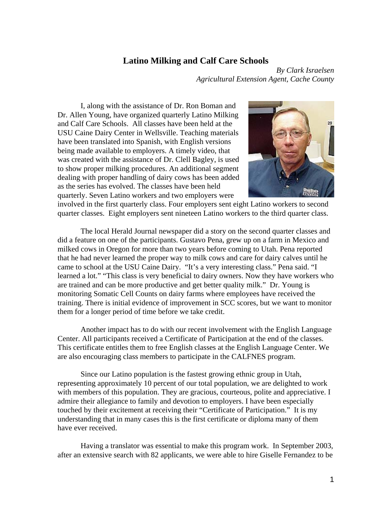## **Latino Milking and Calf Care Schools**

*By Clark Israelsen Agricultural Extension Agent, Cache County* 

I, along with the assistance of Dr. Ron Boman and Dr. Allen Young, have organized quarterly Latino Milking and Calf Care Schools. All classes have been held at the USU Caine Dairy Center in Wellsville. Teaching materials have been translated into Spanish, with English versions being made available to employers. A timely video, that was created with the assistance of Dr. Clell Bagley, is used to show proper milking procedures. An additional segment dealing with proper handling of dairy cows has been added as the series has evolved. The classes have been held quarterly. Seven Latino workers and two employers were



involved in the first quarterly class. Four employers sent eight Latino workers to second quarter classes. Eight employers sent nineteen Latino workers to the third quarter class.

The local Herald Journal newspaper did a story on the second quarter classes and did a feature on one of the participants. Gustavo Pena, grew up on a farm in Mexico and milked cows in Oregon for more than two years before coming to Utah. Pena reported that he had never learned the proper way to milk cows and care for dairy calves until he came to school at the USU Caine Dairy. "It's a very interesting class." Pena said. "I learned a lot." "This class is very beneficial to dairy owners. Now they have workers who are trained and can be more productive and get better quality milk." Dr. Young is monitoring Somatic Cell Counts on dairy farms where employees have received the training. There is initial evidence of improvement in SCC scores, but we want to monitor them for a longer period of time before we take credit.

 Another impact has to do with our recent involvement with the English Language Center. All participants received a Certificate of Participation at the end of the classes. This certificate entitles them to free English classes at the English Language Center. We are also encouraging class members to participate in the CALFNES program.

Since our Latino population is the fastest growing ethnic group in Utah, representing approximately 10 percent of our total population, we are delighted to work with members of this population. They are gracious, courteous, polite and appreciative. I admire their allegiance to family and devotion to employers. I have been especially touched by their excitement at receiving their "Certificate of Participation." It is my understanding that in many cases this is the first certificate or diploma many of them have ever received.

Having a translator was essential to make this program work. In September 2003, after an extensive search with 82 applicants, we were able to hire Giselle Fernandez to be